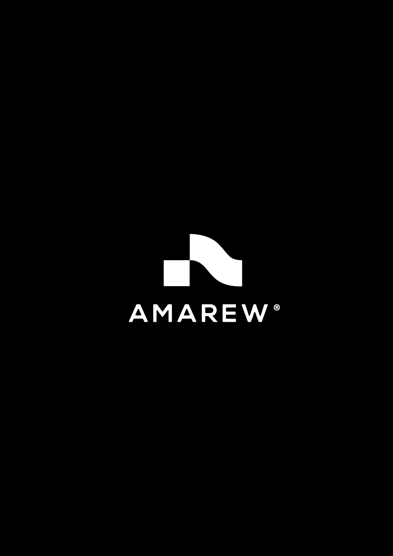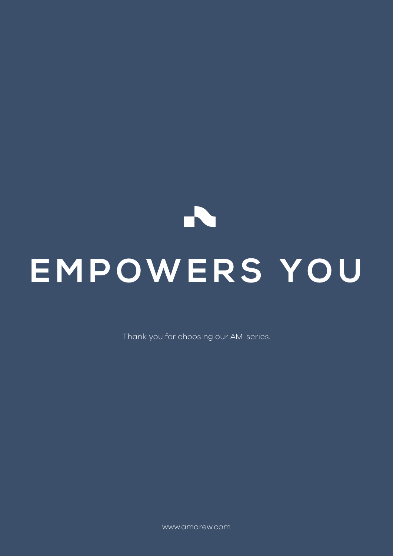# PS. **EMPOWERS YOU**

Thank you for choosing our AM-series.

www.amarew.com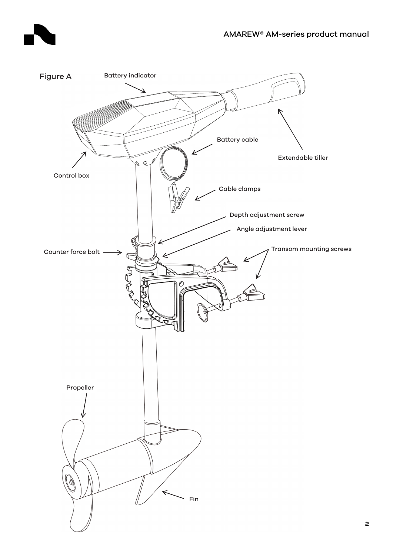

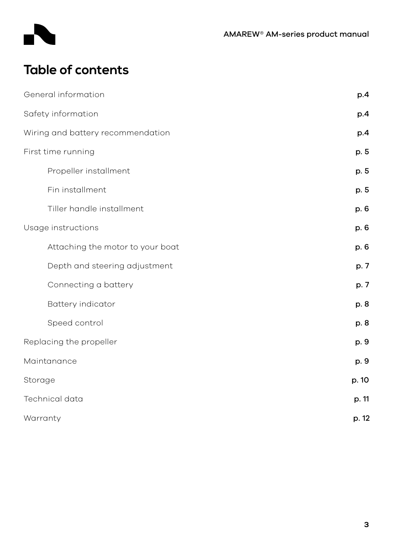

# **Table of contents**

| General information               | p.4   |
|-----------------------------------|-------|
| Safety information                | p.4   |
| Wiring and battery recommendation | p.4   |
| First time running                | p. 5  |
| Propeller installment             | p. 5  |
| Fin installment                   | p. 5  |
| Tiller handle installment         | p. 6  |
| Usage instructions                | p. 6  |
| Attaching the motor to your boat  | p. 6  |
| Depth and steering adjustment     | p. 7  |
| Connecting a battery              | p. 7  |
| Battery indicator                 | p. 8  |
| Speed control                     | p. 8  |
| Replacing the propeller           | p. 9  |
| Maintanance                       | p. 9  |
| Storage                           | p. 10 |
| Technical data                    | p. 11 |
| Warranty                          | p. 12 |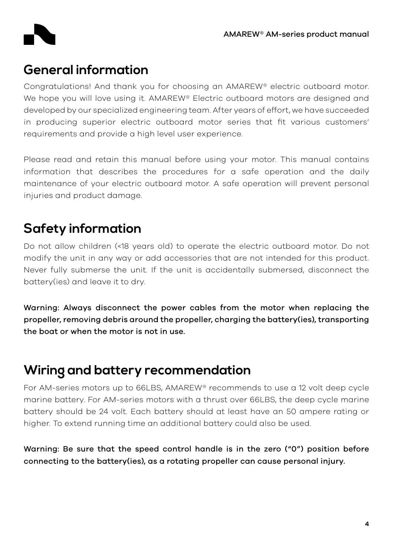## **General information**

Congratulations! And thank you for choosing an AMAREW® electric outboard motor. We hope you will love using it. AMAREW® Electric outboard motors are designed and developed by our specialized engineering team. After years of effort, we have succeeded in producing superior electric outboard motor series that fit various customers' requirements and provide a high level user experience.

Please read and retain this manual before using your motor. This manual contains information that describes the procedures for a safe operation and the daily maintenance of your electric outboard motor. A safe operation will prevent personal injuries and product damage.

# **Safety information**

Do not allow children (<18 years old) to operate the electric outboard motor. Do not modify the unit in any way or add accessories that are not intended for this product. Never fully submerse the unit. If the unit is accidentally submersed, disconnect the battery(ies) and leave it to dry.

Warning: Always disconnect the power cables from the motor when replacing the propeller, removing debris around the propeller, charging the battery(ies), transporting the boat or when the motor is not in use.

## **Wiring and battery recommendation**

For AM-series motors up to 66LBS, AMAREW® recommends to use a 12 volt deep cycle marine battery. For AM-series motors with a thrust over 66LBS, the deep cycle marine battery should be 24 volt. Each battery should at least have an 50 ampere rating or higher. To extend running time an additional battery could also be used.

Warning: Be sure that the speed control handle is in the zero ("0") position before connecting to the battery(ies), as a rotating propeller can cause personal injury.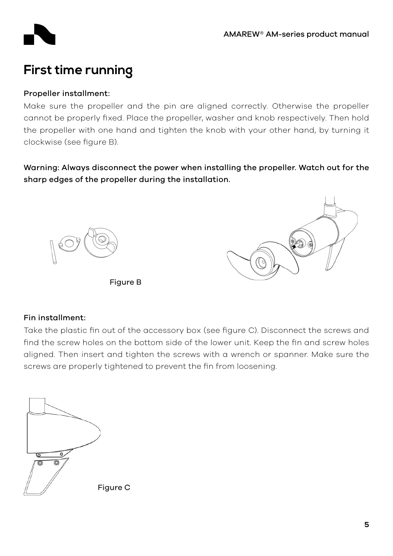



# **First time running**

## Propeller installment:

Make sure the propeller and the pin are aligned correctly. Otherwise the propeller cannot be properly fixed. Place the propeller, washer and knob respectively. Then hold the propeller with one hand and tighten the knob with your other hand, by turning it clockwise (see figure B).

Warning: Always disconnect the power when installing the propeller. Watch out for the sharp edges of the propeller during the installation.



Figure B



### Fin installment:

Take the plastic fin out of the accessory box (see figure C). Disconnect the screws and find the screw holes on the bottom side of the lower unit. Keep the fin and screw holes aligned. Then insert and tighten the screws with a wrench or spanner. Make sure the screws are properly tightened to prevent the fin from loosening.

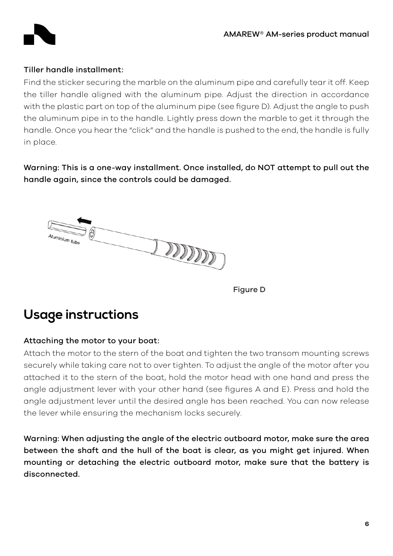

#### Tiller handle installment:

Find the sticker securing the marble on the aluminum pipe and carefully tear it off. Keep the tiller handle aligned with the aluminum pipe. Adjust the direction in accordance with the plastic part on top of the aluminum pipe (see figure D). Adjust the angle to push the aluminum pipe in to the handle. Lightly press down the marble to get it through the handle. Once you hear the "click" and the handle is pushed to the end, the handle is fully in place.

Warning: This is a one-way installment. Once installed, do NOT attempt to pull out the handle again, since the controls could be damaged.



Figure D

## **Usage instructions**

### Attaching the motor to your boat:

Attach the motor to the stern of the boat and tighten the two transom mounting screws securely while taking care not to over tighten. To adjust the angle of the motor after you attached it to the stern of the boat, hold the motor head with one hand and press the angle adjustment lever with your other hand (see figures A and E). Press and hold the angle adjustment lever until the desired angle has been reached. You can now release the lever while ensuring the mechanism locks securely.

Warning: When adjusting the angle of the electric outboard motor, make sure the area between the shaft and the hull of the boat is clear, as you might get injured. When mounting or detaching the electric outboard motor, make sure that the battery is disconnected.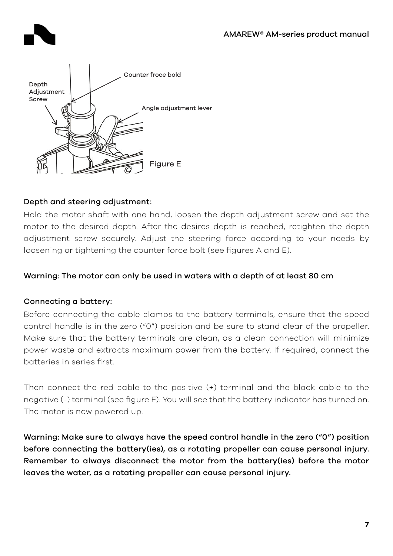



## Depth and steering adjustment:

Hold the motor shaft with one hand, loosen the depth adjustment screw and set the motor to the desired depth. After the desires depth is reached, retighten the depth adjustment screw securely. Adjust the steering force according to your needs by loosening or tightening the counter force bolt (see figures A and E).

## Warning: The motor can only be used in waters with a depth of at least 80 cm

## Connecting a battery:

Before connecting the cable clamps to the battery terminals, ensure that the speed control handle is in the zero ("0") position and be sure to stand clear of the propeller. Make sure that the battery terminals are clean, as a clean connection will minimize power waste and extracts maximum power from the battery. If required, connect the batteries in series first.

Then connect the red cable to the positive (+) terminal and the black cable to the negative (-) terminal (see figure F). You will see that the battery indicator has turned on. The motor is now powered up.

Warning: Make sure to always have the speed control handle in the zero ("0") position before connecting the battery(ies), as a rotating propeller can cause personal injury. Remember to always disconnect the motor from the battery(ies) before the motor leaves the water, as a rotating propeller can cause personal injury.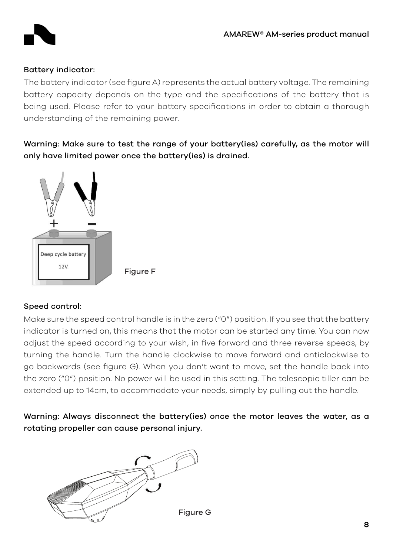

## Battery indicator:

The battery indicator (see figure A) represents the actual battery voltage. The remaining battery capacity depends on the type and the specifications of the battery that is being used. Please refer to your battery specifications in order to obtain a thorough understanding of the remaining power.

Warning: Make sure to test the range of your battery(ies) carefully, as the motor will only have limited power once the battery(ies) is drained.



## Speed control:

Make sure the speed control handle is in the zero ("0") position. If you see that the battery indicator is turned on, this means that the motor can be started any time. You can now adjust the speed according to your wish, in five forward and three reverse speeds, by turning the handle. Turn the handle clockwise to move forward and anticlockwise to go backwards (see figure G). When you don't want to move, set the handle back into the zero ("0") position. No power will be used in this setting. The telescopic tiller can be extended up to 14cm, to accommodate your needs, simply by pulling out the handle.

Warning: Always disconnect the battery(ies) once the motor leaves the water, as a rotating propeller can cause personal injury.

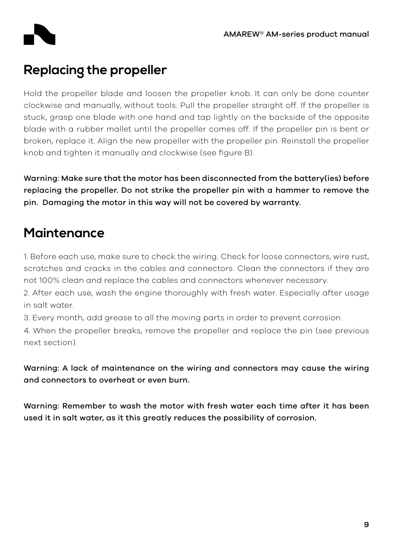

# **Replacing the propeller**

Hold the propeller blade and loosen the propeller knob. It can only be done counter clockwise and manually, without tools. Pull the propeller straight off. If the propeller is stuck, grasp one blade with one hand and tap lightly on the backside of the opposite blade with a rubber mallet until the propeller comes off. If the propeller pin is bent or broken, replace it. Align the new propeller with the propeller pin. Reinstall the propeller knob and tighten it manually and clockwise (see figure B).

Warning: Make sure that the motor has been disconnected from the battery(ies) before replacing the propeller. Do not strike the propeller pin with a hammer to remove the pin. Damaging the motor in this way will not be covered by warranty.

# **Maintenance**

1. Before each use, make sure to check the wiring. Check for loose connectors, wire rust, scratches and cracks in the cables and connectors. Clean the connectors if they are not 100% clean and replace the cables and connectors whenever necessary.

2. After each use, wash the engine thoroughly with fresh water. Especially after usage in salt water.

3. Every month, add grease to all the moving parts in order to prevent corrosion.

4. When the propeller breaks, remove the propeller and replace the pin (see previous next section).

Warning: A lack of maintenance on the wiring and connectors may cause the wiring and connectors to overheat or even burn.

Warning: Remember to wash the motor with fresh water each time after it has been used it in salt water, as it this greatly reduces the possibility of corrosion.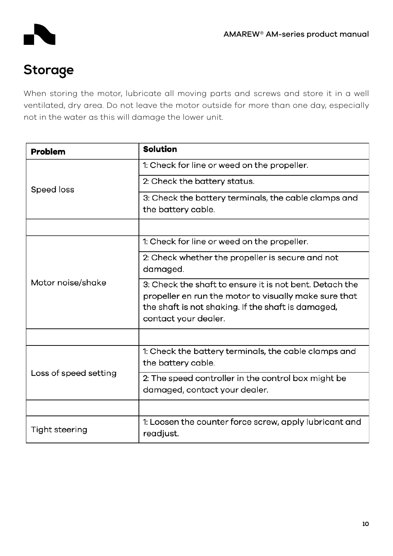

# **Storage**

When storing the motor, lubricate all moving parts and screws and store it in a well ventilated, dry area. Do not leave the motor outside for more than one day, especially not in the water as this will damage the lower unit.

| <b>Problem</b>        | <b>Solution</b>                                                                                                                                                                                |
|-----------------------|------------------------------------------------------------------------------------------------------------------------------------------------------------------------------------------------|
|                       | 1: Check for line or weed on the propeller.                                                                                                                                                    |
| Speed loss            | 2: Check the battery status.                                                                                                                                                                   |
|                       | 3: Check the battery terminals, the cable clamps and<br>the battery cable.                                                                                                                     |
|                       |                                                                                                                                                                                                |
|                       | 1: Check for line or weed on the propeller.                                                                                                                                                    |
| Motor noise/shake     | 2: Check whether the propeller is secure and not<br>damaged.                                                                                                                                   |
|                       | 3: Check the shaft to ensure it is not bent. Detach the<br>propeller en run the motor to visually make sure that<br>the shaft is not shaking. If the shaft is damaged,<br>contact your dealer. |
|                       |                                                                                                                                                                                                |
| Loss of speed setting | 1: Check the battery terminals, the cable clamps and<br>the battery cable.                                                                                                                     |
|                       | 2: The speed controller in the control box might be<br>damaged, contact your dealer.                                                                                                           |
|                       |                                                                                                                                                                                                |
| Tight steering        | 1: Loosen the counter force screw, apply lubricant and<br>readjust.                                                                                                                            |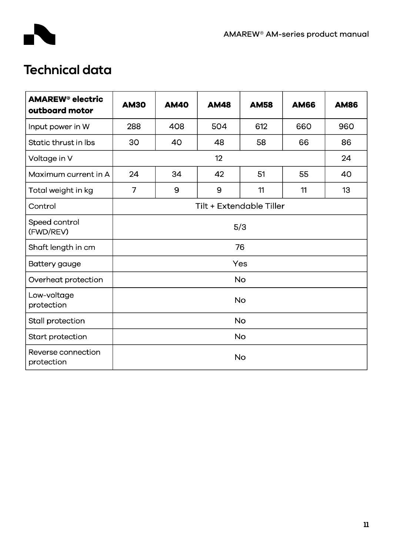

# **Technical data**

| <b>AMAREW<sup>®</sup> electric</b><br>outboard motor | <b>AM30</b>              | <b>AM40</b> | <b>AM48</b> | <b>AM58</b> | <b>AM66</b> | <b>AM86</b> |  |  |
|------------------------------------------------------|--------------------------|-------------|-------------|-------------|-------------|-------------|--|--|
| Input power in W                                     | 288                      | 408         | 504         | 612         | 660         | 960         |  |  |
| Static thrust in lbs                                 | 30                       | 40          | 48          | 58          | 66          | 86          |  |  |
| Voltage in V                                         |                          | 24          |             |             |             |             |  |  |
| Maximum current in A                                 | 24                       | 34          | 42          | 51          | 55          | 40          |  |  |
| Total weight in kg                                   | $\overline{7}$           | 9           | 9           | 11          | 11          | 13          |  |  |
| Control                                              | Tilt + Extendable Tiller |             |             |             |             |             |  |  |
| Speed control<br>(FWD/REV)                           | 5/3                      |             |             |             |             |             |  |  |
| Shaft length in cm                                   | 76                       |             |             |             |             |             |  |  |
| Battery gauge                                        | Yes                      |             |             |             |             |             |  |  |
| Overheat protection                                  | <b>No</b>                |             |             |             |             |             |  |  |
| Low-voltage<br>protection                            | <b>No</b>                |             |             |             |             |             |  |  |
| Stall protection                                     | No                       |             |             |             |             |             |  |  |
| Start protection                                     | No                       |             |             |             |             |             |  |  |
| Reverse connection<br>protection                     | No                       |             |             |             |             |             |  |  |